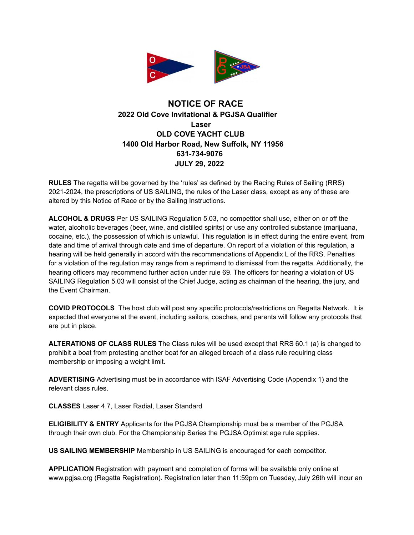

## **NOTICE OF RACE 2022 Old Cove Invitational & PGJSA Qualifier Laser OLD COVE YACHT CLUB 1400 Old Harbor Road, New Suffolk, NY 11956 631-734-9076 JULY 29, 2022**

**RULES** The regatta will be governed by the 'rules' as defined by the Racing Rules of Sailing (RRS) 2021-2024, the prescriptions of US SAILING, the rules of the Laser class, except as any of these are altered by this Notice of Race or by the Sailing Instructions.

**ALCOHOL & DRUGS** Per US SAILING Regulation 5.03, no competitor shall use, either on or off the water, alcoholic beverages (beer, wine, and distilled spirits) or use any controlled substance (marijuana, cocaine, etc.), the possession of which is unlawful. This regulation is in effect during the entire event, from date and time of arrival through date and time of departure. On report of a violation of this regulation, a hearing will be held generally in accord with the recommendations of Appendix L of the RRS. Penalties for a violation of the regulation may range from a reprimand to dismissal from the regatta. Additionally, the hearing officers may recommend further action under rule 69. The officers for hearing a violation of US SAILING Regulation 5.03 will consist of the Chief Judge, acting as chairman of the hearing, the jury, and the Event Chairman.

**COVID PROTOCOLS** The host club will post any specific protocols/restrictions on Regatta Network. It is expected that everyone at the event, including sailors, coaches, and parents will follow any protocols that are put in place.

**ALTERATIONS OF CLASS RULES** The Class rules will be used except that RRS 60.1 (a) is changed to prohibit a boat from protesting another boat for an alleged breach of a class rule requiring class membership or imposing a weight limit.

**ADVERTISING** Advertising must be in accordance with ISAF Advertising Code (Appendix 1) and the relevant class rules.

**CLASSES** Laser 4.7, Laser Radial, Laser Standard

**ELIGIBILITY & ENTRY** Applicants for the PGJSA Championship must be a member of the PGJSA through their own club. For the Championship Series the PGJSA Optimist age rule applies.

**US SAILING MEMBERSHIP** Membership in US SAILING is encouraged for each competitor.

**APPLICATION** Registration with payment and completion of forms will be available only online at www.pgjsa.org (Regatta Registration). Registration later than 11:59pm on Tuesday, July 26th will incur an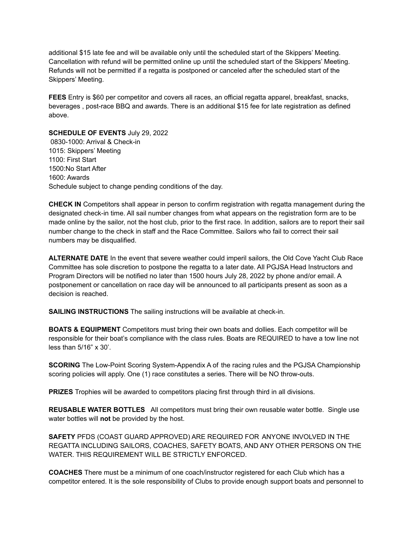additional \$15 late fee and will be available only until the scheduled start of the Skippers' Meeting. Cancellation with refund will be permitted online up until the scheduled start of the Skippers' Meeting. Refunds will not be permitted if a regatta is postponed or canceled after the scheduled start of the Skippers' Meeting.

**FEES** Entry is \$60 per competitor and covers all races, an official regatta apparel, breakfast, snacks, beverages , post-race BBQ and awards. There is an additional \$15 fee for late registration as defined above.

**SCHEDULE OF EVENTS** July 29, 2022 0830-1000: Arrival & Check-in 1015: Skippers' Meeting 1100: First Start 1500:No Start After 1600: Awards Schedule subject to change pending conditions of the day.

**CHECK IN** Competitors shall appear in person to confirm registration with regatta management during the designated check-in time. All sail number changes from what appears on the registration form are to be made online by the sailor, not the host club, prior to the first race. In addition, sailors are to report their sail number change to the check in staff and the Race Committee. Sailors who fail to correct their sail numbers may be disqualified.

**ALTERNATE DATE** In the event that severe weather could imperil sailors, the Old Cove Yacht Club Race Committee has sole discretion to postpone the regatta to a later date. All PGJSA Head Instructors and Program Directors will be notified no later than 1500 hours July 28, 2022 by phone and/or email. A postponement or cancellation on race day will be announced to all participants present as soon as a decision is reached.

**SAILING INSTRUCTIONS** The sailing instructions will be available at check-in.

**BOATS & EQUIPMENT** Competitors must bring their own boats and dollies. Each competitor will be responsible for their boat's compliance with the class rules. Boats are REQUIRED to have a tow line not less than 5/16" x 30'.

**SCORING** The Low-Point Scoring System-Appendix A of the racing rules and the PGJSA Championship scoring policies will apply. One (1) race constitutes a series. There will be NO throw-outs.

**PRIZES** Trophies will be awarded to competitors placing first through third in all divisions.

**REUSABLE WATER BOTTLES** All competitors must bring their own reusable water bottle. Single use water bottles will **not** be provided by the host.

**SAFETY** PFDS (COAST GUARD APPROVED) ARE REQUIRED FOR ANYONE INVOLVED IN THE REGATTA INCLUDING SAILORS, COACHES, SAFETY BOATS, AND ANY OTHER PERSONS ON THE WATER. THIS REQUIREMENT WILL BE STRICTLY ENFORCED.

**COACHES** There must be a minimum of one coach/instructor registered for each Club which has a competitor entered. It is the sole responsibility of Clubs to provide enough support boats and personnel to